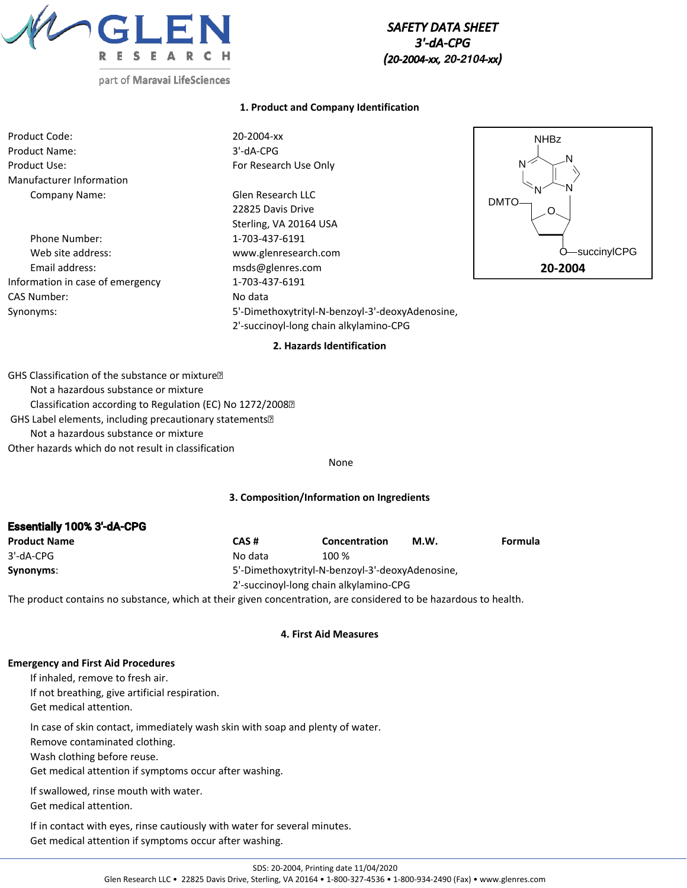

*SAFETY DATA SHEET 3'-dA-CPG (20-2004-xx, 20-2104-xx)*

# part of Maravai LifeSciences

### **1. Product and Company Identification**

| Product Code:            |
|--------------------------|
| <b>Product Name:</b>     |
| Product Use:             |
| Manufacturer Information |
| Company Name:            |

Phone Number: 1-703-437-6191 Web site address: www.glenresearch.com Email address: msds@glenres.com Information in case of emergency 1-703-437-6191 CAS Number: No data

20-2004-xx 3'-dA-CPG For Research Use Only

Glen Research LLC 22825 Davis Drive Sterling, VA 20164 USA Synonyms: 5'-Dimethoxytrityl-N-benzoyl-3'-deoxyAdenosine, 2'-succinoyl-long chain alkylamino-CPG



#### **2. Hazards Identification**

GHS Classification of the substance or mixture Not a hazardous substance or mixture Classification according to Regulation (EC) No 1272/2008 GHS Label elements, including precautionary statements Not a hazardous substance or mixture Other hazards which do not result in classification

#### None

#### **3. Composition/Information on Ingredients**

| <b>Essentially 100% 3-dA-CPG</b> |         |                                                 |      |         |
|----------------------------------|---------|-------------------------------------------------|------|---------|
| <b>Product Name</b>              | CAS#    | Concentration                                   | M.W. | Formula |
| $3'$ -dA-CPG                     | No data | 100 %                                           |      |         |
| Synonyms:                        |         | 5'-Dimethoxytrityl-N-benzoyl-3'-deoxyAdenosine, |      |         |
|                                  |         | 2'-succinovl-long chain alkylamino-CPG          |      |         |

The product contains no substance, which at their given concentration, are considered to be hazardous to health.

#### **4. First Aid Measures**

#### **Emergency and First Aid Procedures**

 $\ddot{\mathbf{B}}$  is the spectrum of  $\ddot{\mathbf{B}}$ 

If inhaled, remove to fresh air. If not breathing, give artificial respiration. Get medical attention.

In case of skin contact, immediately wash skin with soap and plenty of water.

Remove contaminated clothing.

Wash clothing before reuse.

Get medical attention if symptoms occur after washing.

Remove contact lenses if present and continue rinsing.

If swallowed, rinse mouth with water.

Get medical attention.

If in contact with eyes, rinse cautiously with water for several minutes. Get medical attention if symptoms occur after washing.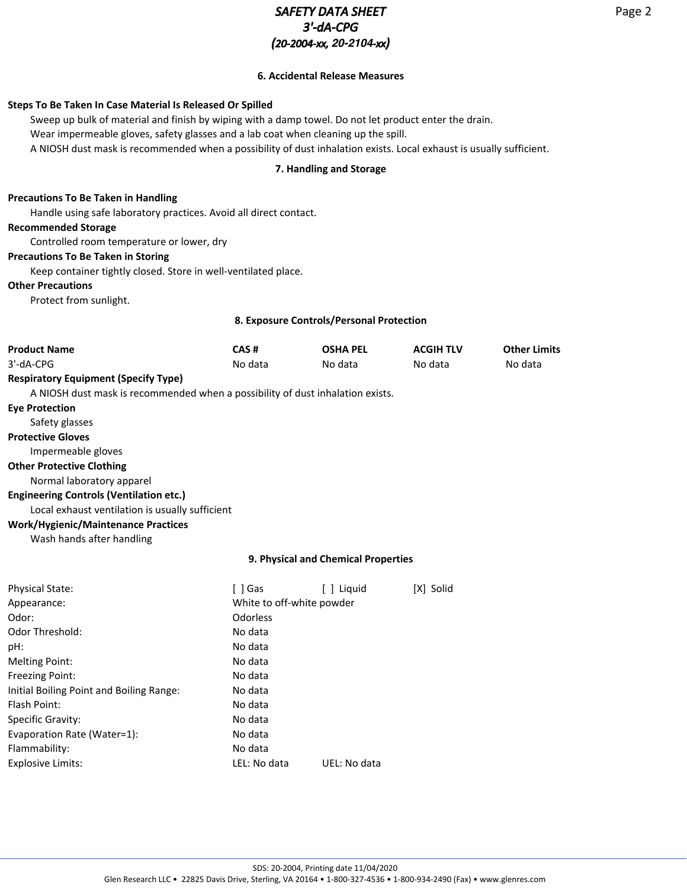# *SAFETY DATA SHEET 3'-dA-CPG (20-2004-xx, 20-2104-xx)*

## **6. Accidental Release Measures**

## **Steps To Be Taken In Case Material Is Released Or Spilled**

Sweep up bulk of material and finish by wiping with a damp towel. Do not let product enter the drain. Wear impermeable gloves, safety glasses and a lab coat when cleaning up the spill. A NIOSH dust mask is recommended when a possibility of dust inhalation exists. Local exhaust is usually sufficient.

## **7. Handling and Storage**

#### **Precautions To Be Taken in Handling**

Handle using safe laboratory practices. Avoid all direct contact.

### **Recommended Storage**

Controlled room temperature or lower, dry

#### **Precautions To Be Taken in Storing**

Keep container tightly closed. Store in well-ventilated place.

## **Other Precautions**

Protect from sunlight.

### **8. Exposure Controls/Personal Protection**

| <b>Product Name</b>                                                            | CAS#                      | <b>OSHA PEL</b>                     | <b>ACGIH TLV</b> | <b>Other Limits</b> |
|--------------------------------------------------------------------------------|---------------------------|-------------------------------------|------------------|---------------------|
| 3'-dA-CPG                                                                      | No data                   | No data                             | No data          | No data             |
| <b>Respiratory Equipment (Specify Type)</b>                                    |                           |                                     |                  |                     |
| A NIOSH dust mask is recommended when a possibility of dust inhalation exists. |                           |                                     |                  |                     |
| <b>Eye Protection</b>                                                          |                           |                                     |                  |                     |
| Safety glasses                                                                 |                           |                                     |                  |                     |
| <b>Protective Gloves</b>                                                       |                           |                                     |                  |                     |
| Impermeable gloves                                                             |                           |                                     |                  |                     |
| <b>Other Protective Clothing</b>                                               |                           |                                     |                  |                     |
| Normal laboratory apparel                                                      |                           |                                     |                  |                     |
| <b>Engineering Controls (Ventilation etc.)</b>                                 |                           |                                     |                  |                     |
| Local exhaust ventilation is usually sufficient                                |                           |                                     |                  |                     |
| <b>Work/Hygienic/Maintenance Practices</b>                                     |                           |                                     |                  |                     |
| Wash hands after handling                                                      |                           |                                     |                  |                     |
|                                                                                |                           | 9. Physical and Chemical Properties |                  |                     |
| <b>Physical State:</b>                                                         | [ ] Gas                   | [ ] Liquid                          | [X] Solid        |                     |
| Appearance:                                                                    | White to off-white powder |                                     |                  |                     |
| Odor:                                                                          | Odorless                  |                                     |                  |                     |
| <b>Odor Threshold:</b>                                                         | No data                   |                                     |                  |                     |
| pH:                                                                            | No data                   |                                     |                  |                     |
| <b>Melting Point:</b>                                                          | No data                   |                                     |                  |                     |
| Freezing Point:                                                                | No data                   |                                     |                  |                     |
| Initial Boiling Point and Boiling Range:                                       | No data                   |                                     |                  |                     |
|                                                                                |                           |                                     |                  |                     |

| Flash Point:                | No data      |              |
|-----------------------------|--------------|--------------|
| Specific Gravity:           | No data      |              |
| Evaporation Rate (Water=1): | No data      |              |
| Flammability:               | No data      |              |
| Explosive Limits:           | LEL: No data | UEL: No data |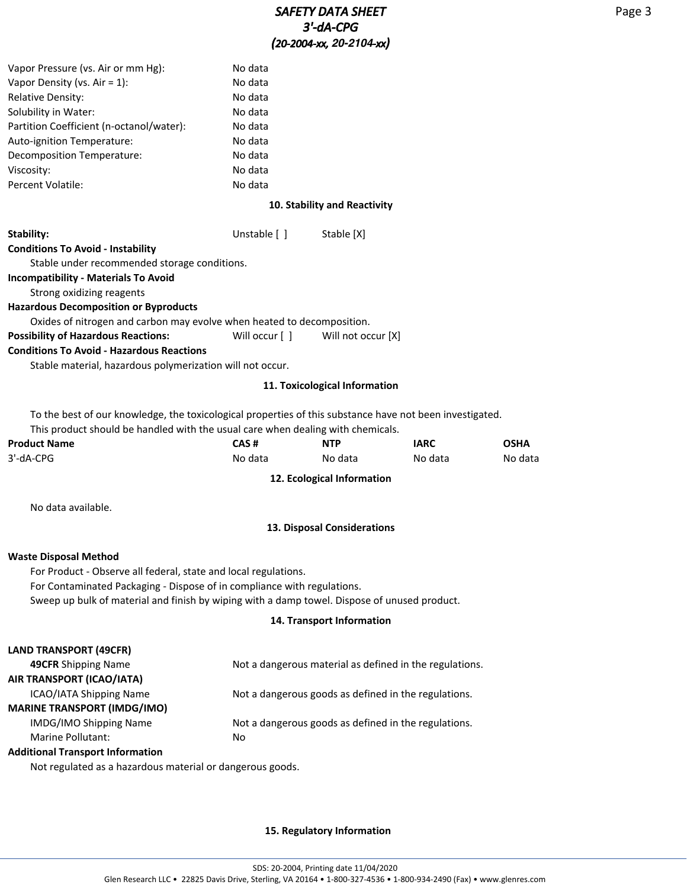| Vapor Pressure (vs. Air or mm Hg):                                                                       | No data        |                               |             |             |
|----------------------------------------------------------------------------------------------------------|----------------|-------------------------------|-------------|-------------|
| Vapor Density (vs. Air = $1$ ):                                                                          | No data        |                               |             |             |
| <b>Relative Density:</b>                                                                                 | No data        |                               |             |             |
| Solubility in Water:                                                                                     | No data        |                               |             |             |
| Partition Coefficient (n-octanol/water):                                                                 | No data        |                               |             |             |
| Auto-ignition Temperature:                                                                               | No data        |                               |             |             |
| Decomposition Temperature:                                                                               | No data        |                               |             |             |
| Viscosity:                                                                                               | No data        |                               |             |             |
| Percent Volatile:                                                                                        | No data        |                               |             |             |
|                                                                                                          |                | 10. Stability and Reactivity  |             |             |
| Stability:                                                                                               | Unstable [ ]   | Stable [X]                    |             |             |
| <b>Conditions To Avoid - Instability</b>                                                                 |                |                               |             |             |
| Stable under recommended storage conditions.                                                             |                |                               |             |             |
| <b>Incompatibility - Materials To Avoid</b>                                                              |                |                               |             |             |
| Strong oxidizing reagents                                                                                |                |                               |             |             |
| <b>Hazardous Decomposition or Byproducts</b>                                                             |                |                               |             |             |
| Oxides of nitrogen and carbon may evolve when heated to decomposition.                                   |                |                               |             |             |
| <b>Possibility of Hazardous Reactions:</b>                                                               | Will occur [ ] | Will not occur [X]            |             |             |
| <b>Conditions To Avoid - Hazardous Reactions</b>                                                         |                |                               |             |             |
| Stable material, hazardous polymerization will not occur.                                                |                |                               |             |             |
|                                                                                                          |                | 11. Toxicological Information |             |             |
| To the best of our knowledge, the toxicological properties of this substance have not been investigated. |                |                               |             |             |
| This product should be handled with the usual care when dealing with chemicals.                          |                |                               |             |             |
| <b>Product Name</b>                                                                                      | CAS#           | <b>NTP</b>                    | <b>IARC</b> | <b>OSHA</b> |
| 3'-dA-CPG                                                                                                | No data        | No data                       | No data     | No data     |
|                                                                                                          |                | 12. Ecological Information    |             |             |
| No data available.                                                                                       |                |                               |             |             |
|                                                                                                          |                | 13. Disposal Considerations   |             |             |
| <b>Waste Disposal Method</b>                                                                             |                |                               |             |             |
| For Product - Observe all federal, state and local regulations.                                          |                |                               |             |             |
| For Contaminated Packaging - Dispose of in compliance with regulations.                                  |                |                               |             |             |
| Sweep up bulk of material and finish by wiping with a damp towel. Dispose of unused product.             |                |                               |             |             |
|                                                                                                          |                | 14. Transport Information     |             |             |
| LAND TRANSPORT (49CFR)                                                                                   |                |                               |             |             |
| $\sim$                                                                                                   |                |                               |             |             |

| 49CFR Shipping Name                                       | Not a dangerous material as defined in the regulations. |
|-----------------------------------------------------------|---------------------------------------------------------|
| AIR TRANSPORT (ICAO/IATA)                                 |                                                         |
| <b>ICAO/IATA Shipping Name</b>                            | Not a dangerous goods as defined in the regulations.    |
| <b>MARINE TRANSPORT (IMDG/IMO)</b>                        |                                                         |
| <b>IMDG/IMO Shipping Name</b>                             | Not a dangerous goods as defined in the regulations.    |
| Marine Pollutant:                                         | No                                                      |
| <b>Additional Transport Information</b>                   |                                                         |
| Not regulated as a hazardous material or dangerous goods. |                                                         |
|                                                           |                                                         |

## **15. Regulatory Information**